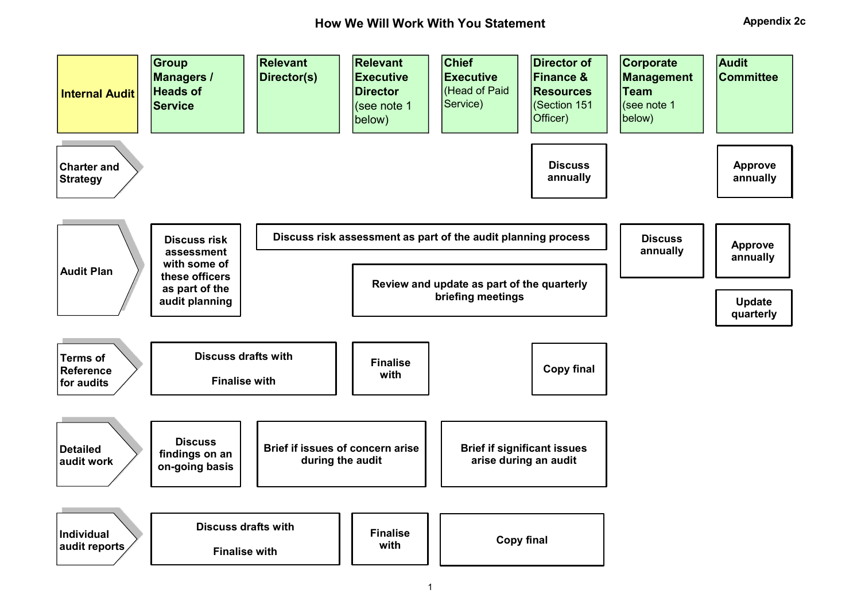